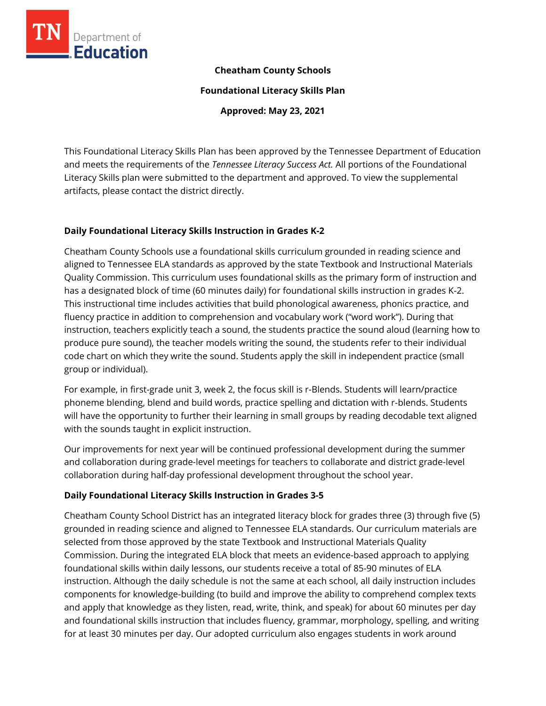

#### **Cheatham County Schools**

**Foundational Literacy Skills Plan**

**Approved: May 23, 2021**

This Foundational Literacy Skills Plan has been approved by the Tennessee Department of Education and meets the requirements of the *Tennessee Literacy Success Act.* All portions of the Foundational Literacy Skills plan were submitted to the department and approved. To view the supplemental artifacts, please contact the district directly.

### **Daily Foundational Literacy Skills Instruction in Grades K-2**

Cheatham County Schools use a foundational skills curriculum grounded in reading science and aligned to Tennessee ELA standards as approved by the state Textbook and Instructional Materials Quality Commission. This curriculum uses foundational skills as the primary form of instruction and has a designated block of time (60 minutes daily) for foundational skills instruction in grades K-2. This instructional time includes activities that build phonological awareness, phonics practice, and fluency practice in addition to comprehension and vocabulary work ("word work"). During that instruction, teachers explicitly teach a sound, the students practice the sound aloud (learning how to produce pure sound), the teacher models writing the sound, the students refer to their individual code chart on which they write the sound. Students apply the skill in independent practice (small group or individual).

For example, in first-grade unit 3, week 2, the focus skill is r-Blends. Students will learn/practice phoneme blending, blend and build words, practice spelling and dictation with r-blends. Students will have the opportunity to further their learning in small groups by reading decodable text aligned with the sounds taught in explicit instruction.

Our improvements for next year will be continued professional development during the summer and collaboration during grade-level meetings for teachers to collaborate and district grade-level collaboration during half-day professional development throughout the school year.

# **Daily Foundational Literacy Skills Instruction in Grades 3-5**

Cheatham County School District has an integrated literacy block for grades three (3) through five (5) grounded in reading science and aligned to Tennessee ELA standards. Our curriculum materials are selected from those approved by the state Textbook and Instructional Materials Quality Commission. During the integrated ELA block that meets an evidence-based approach to applying foundational skills within daily lessons, our students receive a total of 85-90 minutes of ELA instruction. Although the daily schedule is not the same at each school, all daily instruction includes components for knowledge-building (to build and improve the ability to comprehend complex texts and apply that knowledge as they listen, read, write, think, and speak) for about 60 minutes per day and foundational skills instruction that includes fluency, grammar, morphology, spelling, and writing for at least 30 minutes per day. Our adopted curriculum also engages students in work around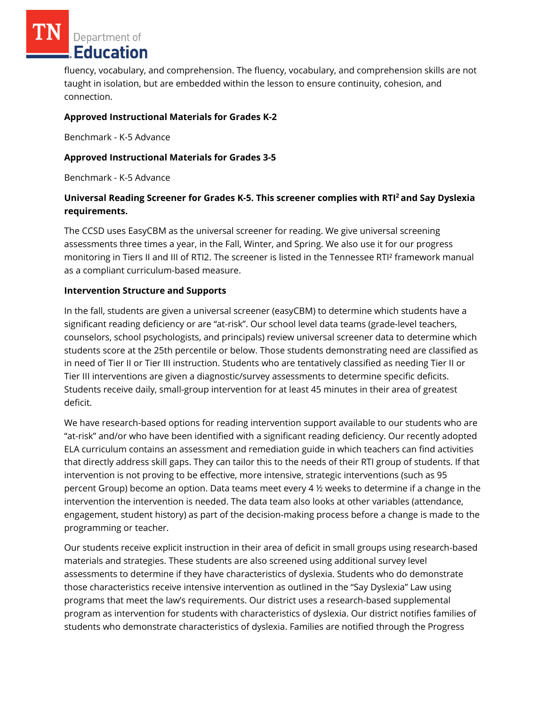Department of Education

fluency, vocabulary, and comprehension. The fluency, vocabulary, and comprehension skills are not taught in isolation, but are embedded within the lesson to ensure continuity, cohesion, and connection.

### **Approved Instructional Materials for Grades K-2**

Benchmark - K-5 Advance

### **Approved Instructional Materials for Grades 3-5**

Benchmark - K-5 Advance

# **Universal Reading Screener for Grades K-5. This screener complies with RTI<sup>2</sup>and Say Dyslexia requirements.**

The CCSD uses EasyCBM as the universal screener for reading. We give universal screening assessments three times a year, in the Fall, Winter, and Spring. We also use it for our progress monitoring in Tiers II and III of RTI2. The screener is listed in the Tennessee RTI² framework manual as a compliant curriculum-based measure.

#### **Intervention Structure and Supports**

In the fall, students are given a universal screener (easyCBM) to determine which students have a significant reading deficiency or are "at-risk". Our school level data teams (grade-level teachers, counselors, school psychologists, and principals) review universal screener data to determine which students score at the 25th percentile or below. Those students demonstrating need are classified as in need of Tier II or Tier III instruction. Students who are tentatively classified as needing Tier II or Tier III interventions are given a diagnostic/survey assessments to determine specific deficits. Students receive daily, small-group intervention for at least 45 minutes in their area of greatest deficit.

We have research-based options for reading intervention support available to our students who are "at-risk" and/or who have been identified with a significant reading deficiency. Our recently adopted ELA curriculum contains an assessment and remediation guide in which teachers can find activities that directly address skill gaps. They can tailor this to the needs of their RTI group of students. If that intervention is not proving to be effective, more intensive, strategic interventions (such as 95 percent Group) become an option. Data teams meet every 4 ½ weeks to determine if a change in the intervention the intervention is needed. The data team also looks at other variables (attendance, engagement, student history) as part of the decision-making process before a change is made to the programming or teacher.

Our students receive explicit instruction in their area of deficit in small groups using research-based materials and strategies. These students are also screened using additional survey level assessments to determine if they have characteristics of dyslexia. Students who do demonstrate those characteristics receive intensive intervention as outlined in the "Say Dyslexia" Law using programs that meet the law's requirements. Our district uses a research-based supplemental program as intervention for students with characteristics of dyslexia. Our district notifies families of students who demonstrate characteristics of dyslexia. Families are notified through the Progress